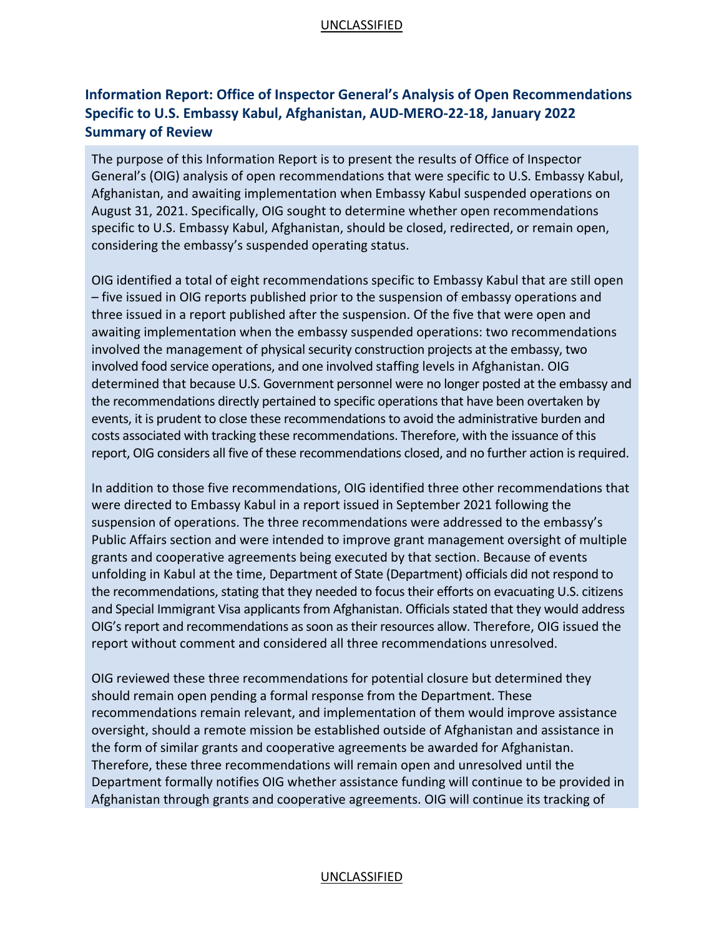### UNCLASSIFIED

# **Information Report: Office of Inspector General's Analysis of Open Recommendations Specific to U.S. Embassy Kabul, Afghanistan, AUD-MERO-22-18, January 2022 Summary of Review**

The purpose of this Information Report is to present the results of Office of Inspector General's (OIG) analysis of open recommendations that were specific to U.S. Embassy Kabul, Afghanistan, and awaiting implementation when Embassy Kabul suspended operations on August 31, 2021. Specifically, OIG sought to determine whether open recommendations specific to U.S. Embassy Kabul, Afghanistan, should be closed, redirected, or remain open, considering the embassy's suspended operating status.

OIG identified a total of eight recommendations specific to Embassy Kabul that are still open – five issued in OIG reports published prior to the suspension of embassy operations and three issued in a report published after the suspension. Of the five that were open and awaiting implementation when the embassy suspended operations: two recommendations involved the management of physical security construction projects at the embassy, two involved food service operations, and one involved staffing levels in Afghanistan. OIG determined that because U.S. Government personnel were no longer posted at the embassy and the recommendations directly pertained to specific operations that have been overtaken by events, it is prudent to close these recommendations to avoid the administrative burden and costs associated with tracking these recommendations. Therefore, with the issuance of this report, OIG considers all five of these recommendations closed, and no further action is required.

In addition to those five recommendations, OIG identified three other recommendations that were directed to Embassy Kabul in a report issued in September 2021 following the suspension of operations. The three recommendations were addressed to the embassy's Public Affairs section and were intended to improve grant management oversight of multiple grants and cooperative agreements being executed by that section. Because of events unfolding in Kabul at the time, Department of State (Department) officials did not respond to the recommendations, stating that they needed to focus their efforts on evacuating U.S. citizens and Special Immigrant Visa applicants from Afghanistan. Officials stated that they would address OIG's report and recommendations as soon as their resources allow. Therefore, OIG issued the report without comment and considered all three recommendations unresolved.

OIG reviewed these three recommendations for potential closure but determined they should remain open pending a formal response from the Department. These recommendations remain relevant, and implementation of them would improve assistance oversight, should a remote mission be established outside of Afghanistan and assistance in the form of similar grants and cooperative agreements be awarded for Afghanistan. Therefore, these three recommendations will remain open and unresolved until the Department formally notifies OIG whether assistance funding will continue to be provided in Afghanistan through grants and cooperative agreements. OIG will continue its tracking of

#### UNCLASSIFIED